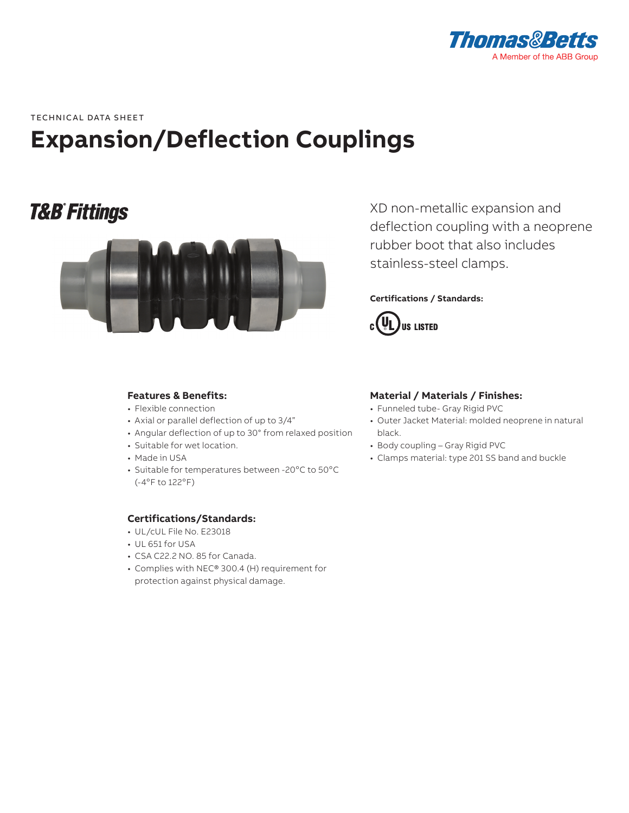

**-**<br>TECHNICAL DATA SHEET

# **Expansion/Deflection Couplings**

## **T&B® Fittings**



**Features & Benefits:**

- Flexible connection
- Axial or parallel deflection of up to 3/4"
- Angular deflection of up to 30° from relaxed position
- Suitable for wet location.
- Made in USA
- Suitable for temperatures between -20°C to 50°C  $(-4°F to 122°F)$

#### **Certifications/Standards:**

- UL/cUL File No. E23018
- UL 651 for USA
- CSA C22.2 NO. 85 for Canada.
- Complies with NEC® 300.4 (H) requirement for protection against physical damage.

XD non-metallic expansion and deflection coupling with a neoprene rubber boot that also includes stainless-steel clamps.

#### **Certifications / Standards:**



### **Material / Materials / Finishes:**

- Funneled tube- Gray Rigid PVC
- Outer Jacket Material: molded neoprene in natural black.
- Body coupling Gray Rigid PVC
- Clamps material: type 201 SS band and buckle